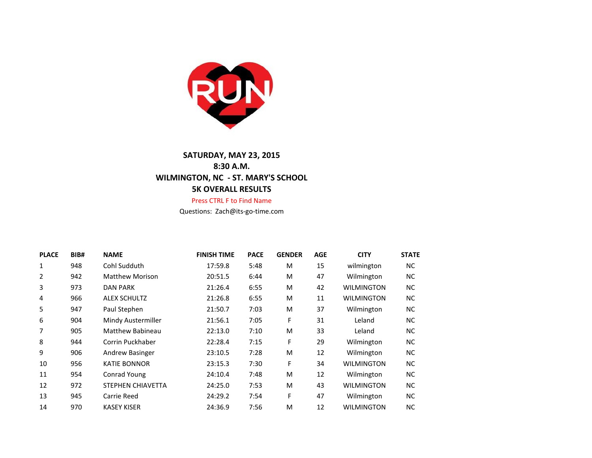

## **SATURDAY, MAY 23, 2015 8:30 A.M. WILMINGTON, NC - ST. MARY'S SCHOOL 5K OVERALL RESULTS**

## Press CTRL F to Find Name

Questions: Zach@its-go-time.com

| <b>PLACE</b> | BIB# | <b>NAME</b>             | <b>FINISH TIME</b> | <b>PACE</b> | <b>GENDER</b> | <b>AGE</b> | <b>CITY</b>       | <b>STATE</b> |
|--------------|------|-------------------------|--------------------|-------------|---------------|------------|-------------------|--------------|
| 1            | 948  | Cohl Sudduth            | 17:59.8            | 5:48        | м             | 15         | wilmington        | NC.          |
| 2            | 942  | <b>Matthew Morison</b>  | 20:51.5            | 6:44        | м             | 47         | Wilmington        | NC.          |
| 3            | 973  | <b>DAN PARK</b>         | 21:26.4            | 6:55        | м             | 42         | <b>WILMINGTON</b> | NC.          |
| 4            | 966  | <b>ALEX SCHULTZ</b>     | 21:26.8            | 6:55        | М             | 11         | <b>WILMINGTON</b> | NC.          |
| 5            | 947  | Paul Stephen            | 21:50.7            | 7:03        | М             | 37         | Wilmington        | NC.          |
| 6            | 904  | Mindy Austermiller      | 21:56.1            | 7:05        | F             | 31         | Leland            | NC.          |
| 7            | 905  | <b>Matthew Babineau</b> | 22:13.0            | 7:10        | м             | 33         | Leland            | NC.          |
| 8            | 944  | Corrin Puckhaber        | 22:28.4            | 7:15        | F             | 29         | Wilmington        | NC.          |
| 9            | 906  | <b>Andrew Basinger</b>  | 23:10.5            | 7:28        | М             | 12         | Wilmington        | NC.          |
| 10           | 956  | <b>KATIE BONNOR</b>     | 23:15.3            | 7:30        | F             | 34         | <b>WILMINGTON</b> | NC.          |
| 11           | 954  | Conrad Young            | 24:10.4            | 7:48        | M             | 12         | Wilmington        | NC.          |
| 12           | 972  | STEPHEN CHIAVETTA       | 24:25.0            | 7:53        | М             | 43         | <b>WILMINGTON</b> | NC.          |
| 13           | 945  | Carrie Reed             | 24:29.2            | 7:54        | F             | 47         | Wilmington        | NC.          |
| 14           | 970  | <b>KASEY KISER</b>      | 24:36.9            | 7:56        | М             | 12         | <b>WILMINGTON</b> | ΝC           |